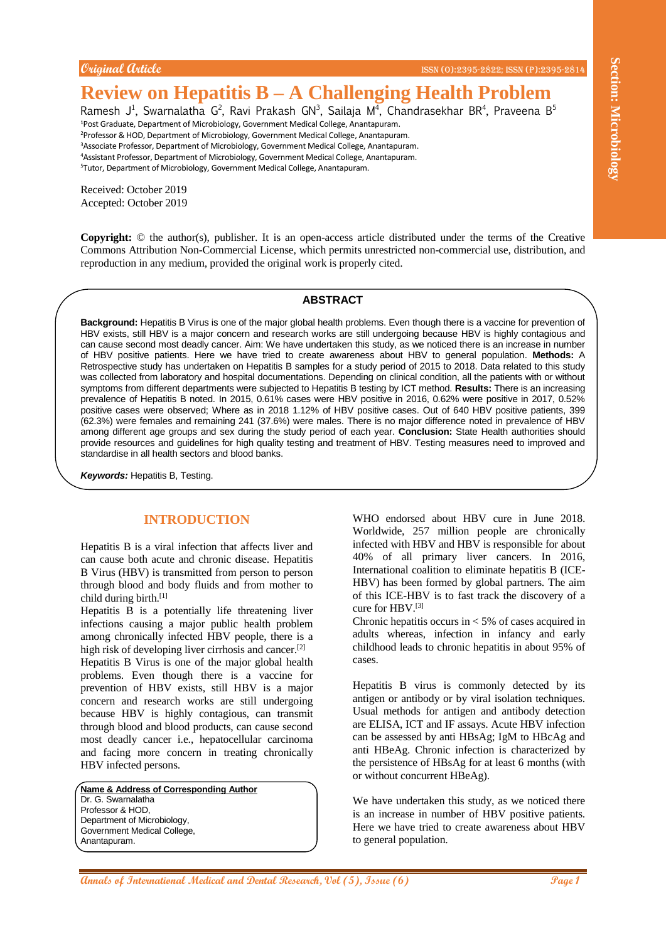## **Original Article** ISSN (O):2395-2822; ISSN (P):2395-2814

# **Review on Hepatitis B – A Challenging Health Problem**

Ramesh J<sup>1</sup>, Swarnalatha G<sup>2</sup>, Ravi Prakash GN<sup>3</sup>, Sailaja M<sup>4</sup>, Chandrasekhar BR<sup>4</sup>, Praveena B<sup>5</sup> <sup>1</sup>Post Graduate, Department of Microbiology, Government Medical College, Anantapuram.

<sup>2</sup>Professor & HOD, Department of Microbiology, Government Medical College, Anantapuram. <sup>3</sup>Associate Professor, Department of Microbiology, Government Medical College, Anantapuram. <sup>4</sup>Assistant Professor, Department of Microbiology, Government Medical College, Anantapuram.

<sup>5</sup>Tutor, Department of Microbiology, Government Medical College, Anantapuram.

Received: October 2019 Accepted: October 2019

**Copyright:** © the author(s), publisher. It is an open-access article distributed under the terms of the Creative Commons Attribution Non-Commercial License, which permits unrestricted non-commercial use, distribution, and reproduction in any medium, provided the original work is properly cited.

## **ABSTRACT**

Coupled the continue of **Annals of Annals of Annals of Annals of Annal Medical Annal Medical and Continue of Annal Medical Annal Medical and Dental Annal Medical and Dental Research, Vol (5), Issue (6)**  $\frac{1}{2}$  **<b>Continue Background:** Hepatitis B Virus is one of the major global health problems. Even though there is a vaccine for prevention of HBV exists, still HBV is a major concern and research works are still undergoing because HBV is highly contagious and can cause second most deadly cancer. Aim: We have undertaken this study, as we noticed there is an increase in number of HBV positive patients. Here we have tried to create awareness about HBV to general population. **Methods:** A Retrospective study has undertaken on Hepatitis B samples for a study period of 2015 to 2018. Data related to this study was collected from laboratory and hospital documentations. Depending on clinical condition, all the patients with or without symptoms from different departments were subjected to Hepatitis B testing by ICT method. **Results:** There is an increasing prevalence of Hepatitis B noted. In 2015, 0.61% cases were HBV positive in 2016, 0.62% were positive in 2017, 0.52% positive cases were observed; Where as in 2018 1.12% of HBV positive cases. Out of 640 HBV positive patients, 399 (62.3%) were females and remaining 241 (37.6%) were males. There is no major difference noted in prevalence of HBV among different age groups and sex during the study period of each year. **Conclusion:** State Health authorities should provide resources and guidelines for high quality testing and treatment of HBV. Testing measures need to improved and standardise in all health sectors and blood banks.

*Keywords:* Hepatitis B, Testing.

## **INTRODUCTION**

Hepatitis B is a viral infection that affects liver and can cause both acute and chronic disease. Hepatitis B Virus (HBV) is transmitted from person to person through blood and body fluids and from mother to child during birth.[1]

Hepatitis B is a potentially life threatening liver infections causing a major public health problem among chronically infected HBV people, there is a high risk of developing liver cirrhosis and cancer.<sup>[2]</sup>

Hepatitis B Virus is one of the major global health problems. Even though there is a vaccine for prevention of HBV exists, still HBV is a major concern and research works are still undergoing because HBV is highly contagious, can transmit through blood and blood products, can cause second most deadly cancer i.e., hepatocellular carcinoma and facing more concern in treating chronically HBV infected persons.

**Name & Address of Corresponding Author** Dr. G. Swarnalatha Professor & HOD, Department of Microbiology, Government Medical College, Anantapuram.

WHO endorsed about HBV cure in June 2018. Worldwide, 257 million people are chronically infected with HBV and HBV is responsible for about 40% of all primary liver cancers. In 2016, International coalition to eliminate hepatitis B (ICE-HBV) has been formed by global partners. The aim of this ICE-HBV is to fast track the discovery of a cure for HBV.[3]

Chronic hepatitis occurs in  $<$  5% of cases acquired in adults whereas, infection in infancy and early childhood leads to chronic hepatitis in about 95% of cases.

Hepatitis B virus is commonly detected by its antigen or antibody or by viral isolation techniques. Usual methods for antigen and antibody detection are ELISA, ICT and IF assays. Acute HBV infection can be assessed by anti HBsAg; IgM to HBcAg and anti HBeAg. Chronic infection is characterized by the persistence of HBsAg for at least 6 months (with or without concurrent HBeAg).

We have undertaken this study, as we noticed there is an increase in number of HBV positive patients. Here we have tried to create awareness about HBV to general population.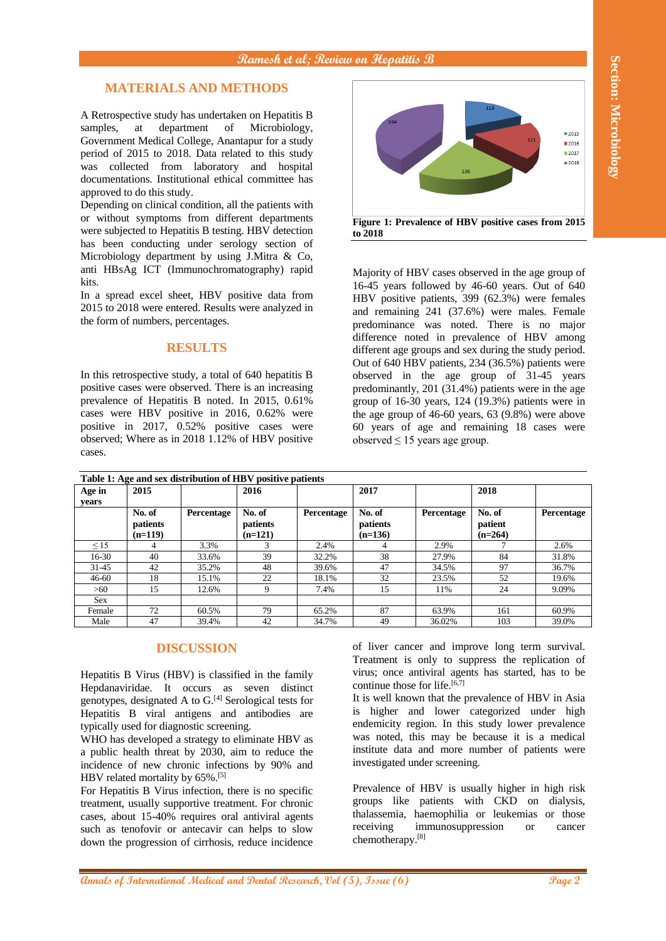# **MATERIALS AND METHODS**

### **RESULTS**



| samples,<br>approved to do this study.                                                                                                                                                                                                                                                                                                                                                                                                                                                                                                                                                                                | at                                           | <b>MATERIALS AND METHODS</b><br>department<br>of              | A Retrospective study has undertaken on Hepatitis B<br>Microbiology,<br>Government Medical College, Anantapur for a study<br>period of 2015 to 2018. Data related to this study<br>was collected from laboratory and hospital<br>documentations. Institutional ethical committee has<br>Depending on clinical condition, all the patients with<br>or without symptoms from different departments<br>were subjected to Hepatitis B testing. HBV detection<br>has been conducting under serology section of<br>Microbiology department by using J.Mitra & Co,                                                     |                | 264<br>Figure 1: Prevalence of HBV positive cases from 2015<br>to 2018                                                                                                                                                                                                                                                                                                                                                                                                                                                                                                                                                                                                                                                          | 136               | 119                            | 2015<br>121<br>2016<br>2017<br>■ 2018 |
|-----------------------------------------------------------------------------------------------------------------------------------------------------------------------------------------------------------------------------------------------------------------------------------------------------------------------------------------------------------------------------------------------------------------------------------------------------------------------------------------------------------------------------------------------------------------------------------------------------------------------|----------------------------------------------|---------------------------------------------------------------|-----------------------------------------------------------------------------------------------------------------------------------------------------------------------------------------------------------------------------------------------------------------------------------------------------------------------------------------------------------------------------------------------------------------------------------------------------------------------------------------------------------------------------------------------------------------------------------------------------------------|----------------|---------------------------------------------------------------------------------------------------------------------------------------------------------------------------------------------------------------------------------------------------------------------------------------------------------------------------------------------------------------------------------------------------------------------------------------------------------------------------------------------------------------------------------------------------------------------------------------------------------------------------------------------------------------------------------------------------------------------------------|-------------------|--------------------------------|---------------------------------------|
|                                                                                                                                                                                                                                                                                                                                                                                                                                                                                                                                                                                                                       |                                              |                                                               |                                                                                                                                                                                                                                                                                                                                                                                                                                                                                                                                                                                                                 |                |                                                                                                                                                                                                                                                                                                                                                                                                                                                                                                                                                                                                                                                                                                                                 |                   |                                |                                       |
|                                                                                                                                                                                                                                                                                                                                                                                                                                                                                                                                                                                                                       |                                              |                                                               |                                                                                                                                                                                                                                                                                                                                                                                                                                                                                                                                                                                                                 |                |                                                                                                                                                                                                                                                                                                                                                                                                                                                                                                                                                                                                                                                                                                                                 |                   |                                |                                       |
|                                                                                                                                                                                                                                                                                                                                                                                                                                                                                                                                                                                                                       |                                              |                                                               |                                                                                                                                                                                                                                                                                                                                                                                                                                                                                                                                                                                                                 |                |                                                                                                                                                                                                                                                                                                                                                                                                                                                                                                                                                                                                                                                                                                                                 |                   |                                |                                       |
| anti HBsAg ICT (Immunochromatography) rapid<br>kits.<br>In a spread excel sheet, HBV positive data from<br>2015 to 2018 were entered. Results were analyzed in<br>the form of numbers, percentages.<br><b>RESULTS</b><br>In this retrospective study, a total of 640 hepatitis B<br>positive cases were observed. There is an increasing<br>prevalence of Hepatitis B noted. In 2015, 0.61%<br>cases were HBV positive in 2016, 0.62% were<br>positive in 2017, 0.52% positive cases were<br>observed; Where as in 2018 1.12% of HBV positive<br>cases.<br>Table 1: Age and sex distribution of HBV positive patients |                                              |                                                               |                                                                                                                                                                                                                                                                                                                                                                                                                                                                                                                                                                                                                 |                | Majority of HBV cases observed in the age group of<br>16-45 years followed by 46-60 years. Out of 640<br>HBV positive patients, 399 (62.3%) were females<br>and remaining 241 (37.6%) were males. Female<br>predominance was noted. There is no major<br>difference noted in prevalence of HBV among<br>different age groups and sex during the study period.<br>Out of 640 HBV patients, 234 (36.5%) patients were<br>observed in the age group of 31-45 years<br>predominantly, 201 (31.4%) patients were in the age<br>group of 16-30 years, 124 (19.3%) patients were in<br>the age group of $46-60$ years, $63$ $(9.8\%)$ were above<br>60 years of age and remaining 18 cases were<br>observed $\leq$ 15 years age group. |                   |                                |                                       |
|                                                                                                                                                                                                                                                                                                                                                                                                                                                                                                                                                                                                                       |                                              |                                                               |                                                                                                                                                                                                                                                                                                                                                                                                                                                                                                                                                                                                                 |                |                                                                                                                                                                                                                                                                                                                                                                                                                                                                                                                                                                                                                                                                                                                                 |                   |                                |                                       |
| Age in<br>years                                                                                                                                                                                                                                                                                                                                                                                                                                                                                                                                                                                                       | 2015                                         |                                                               | 2016                                                                                                                                                                                                                                                                                                                                                                                                                                                                                                                                                                                                            |                | 2017                                                                                                                                                                                                                                                                                                                                                                                                                                                                                                                                                                                                                                                                                                                            |                   | 2018                           |                                       |
|                                                                                                                                                                                                                                                                                                                                                                                                                                                                                                                                                                                                                       | No. of<br>patients<br>$(n=119)$              | Percentage                                                    | No. of<br>patients<br>$(n=121)$                                                                                                                                                                                                                                                                                                                                                                                                                                                                                                                                                                                 | Percentage     | No. of<br>patients<br>$(n=136)$                                                                                                                                                                                                                                                                                                                                                                                                                                                                                                                                                                                                                                                                                                 | Percentage        | No. of<br>patient<br>$(n=264)$ | Percentage                            |
| $\leq$ 15                                                                                                                                                                                                                                                                                                                                                                                                                                                                                                                                                                                                             | 4                                            | 3.3%                                                          | 3                                                                                                                                                                                                                                                                                                                                                                                                                                                                                                                                                                                                               | 2.4%           | 4                                                                                                                                                                                                                                                                                                                                                                                                                                                                                                                                                                                                                                                                                                                               | 2.9%              | 7                              | 2.6%                                  |
| 16-30<br>31-45                                                                                                                                                                                                                                                                                                                                                                                                                                                                                                                                                                                                        | 40<br>42                                     | 33.6%<br>35.2%                                                | 39<br>48                                                                                                                                                                                                                                                                                                                                                                                                                                                                                                                                                                                                        | 32.2%<br>39.6% | 38<br>47                                                                                                                                                                                                                                                                                                                                                                                                                                                                                                                                                                                                                                                                                                                        | 27.9%<br>34.5%    | 84<br>97                       | 31.8%<br>36.7%                        |
| 46-60                                                                                                                                                                                                                                                                                                                                                                                                                                                                                                                                                                                                                 | 18                                           | 15.1%                                                         | 22                                                                                                                                                                                                                                                                                                                                                                                                                                                                                                                                                                                                              | 18.1%          | 32                                                                                                                                                                                                                                                                                                                                                                                                                                                                                                                                                                                                                                                                                                                              | 23.5%             | 52                             | 19.6%                                 |
| >60                                                                                                                                                                                                                                                                                                                                                                                                                                                                                                                                                                                                                   | 15                                           | 12.6%                                                         | 9                                                                                                                                                                                                                                                                                                                                                                                                                                                                                                                                                                                                               | 7.4%           | 15                                                                                                                                                                                                                                                                                                                                                                                                                                                                                                                                                                                                                                                                                                                              | 11%               | 24                             | 9.09%                                 |
| <b>Sex</b>                                                                                                                                                                                                                                                                                                                                                                                                                                                                                                                                                                                                            |                                              |                                                               |                                                                                                                                                                                                                                                                                                                                                                                                                                                                                                                                                                                                                 |                |                                                                                                                                                                                                                                                                                                                                                                                                                                                                                                                                                                                                                                                                                                                                 |                   |                                |                                       |
| Female<br>Male                                                                                                                                                                                                                                                                                                                                                                                                                                                                                                                                                                                                        | 72<br>47                                     | 60.5%<br>39.4%                                                | 79<br>42                                                                                                                                                                                                                                                                                                                                                                                                                                                                                                                                                                                                        | 65.2%<br>34.7% | 87<br>49                                                                                                                                                                                                                                                                                                                                                                                                                                                                                                                                                                                                                                                                                                                        | 63.9%<br>36.02%   | 161<br>103                     | 60.9%<br>39.0%                        |
|                                                                                                                                                                                                                                                                                                                                                                                                                                                                                                                                                                                                                       | HBV related mortality by 65%. <sup>[5]</sup> | <b>DISCUSSION</b><br>typically used for diagnostic screening. | Hepatitis B Virus (HBV) is classified in the family<br>Hepdanaviridae. It occurs as seven distinct<br>genotypes, designated A to G. <sup>[4]</sup> Serological tests for<br>Hepatitis B viral antigens and antibodies are<br>WHO has developed a strategy to eliminate HBV as<br>a public health threat by 2030, aim to reduce the<br>incidence of new chronic infections by 90% and<br>For Hepatitis B Virus infection, there is no specific<br>treatment, usually supportive treatment. For chronic<br>cases, about 15-40% requires oral antiviral agents<br>such as tenofovir or antecavir can helps to slow |                | of liver cancer and improve long term survival.<br>Treatment is only to suppress the replication of<br>virus; once antiviral agents has started, has to be<br>continue those for life. <sup>[6,7]</sup><br>It is well known that the prevalence of HBV in Asia<br>is higher and lower categorized under high<br>endemicity region. In this study lower prevalence<br>was noted, this may be because it is a medical<br>institute data and more number of patients were<br>investigated under screening.<br>Prevalence of HBV is usually higher in high risk<br>groups like patients with CKD on dialysis,<br>thalassemia, haemophilia or leukemias or those<br>receiving                                                        | immunosuppression |                                | <b>or</b><br>cancer                   |

## **DISCUSSION**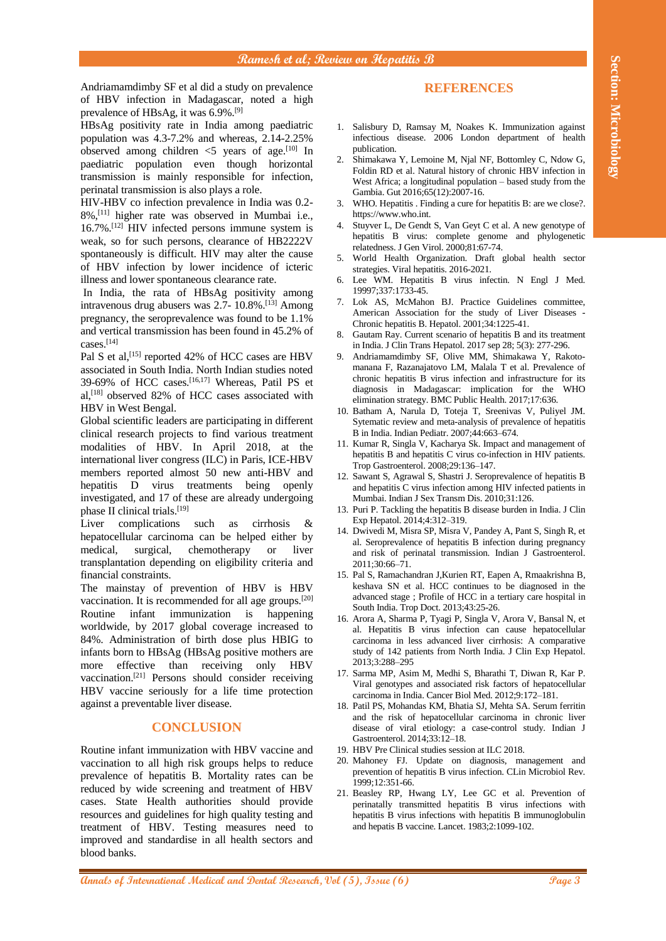Andriamamdimby SF et al did a study on prevalence of HBV infection in Madagascar, noted a high prevalence of HBsAg, it was 6.9%.[9]

HBsAg positivity rate in India among paediatric population was 4.3-7.2% and whereas, 2.14-2.25% observed among children  $\leq$  years of age.<sup>[10]</sup> In paediatric population even though horizontal transmission is mainly responsible for infection, perinatal transmission is also plays a role.

HIV-HBV co infection prevalence in India was 0.2- 8%,[11] higher rate was observed in Mumbai i.e.,  $16.7\%$ .<sup>[12]</sup> HIV infected persons immune system is weak, so for such persons, clearance of HB2222V spontaneously is difficult. HIV may alter the cause of HBV infection by lower incidence of icteric illness and lower spontaneous clearance rate.

In India, the rata of HBsAg positivity among intravenous drug abusers was  $2.7 - 10.8\%$ .<sup>[13]</sup> Among pregnancy, the seroprevalence was found to be 1.1% and vertical transmission has been found in 45.2% of cases.[14]

Pal S et al,<sup>[15]</sup> reported 42% of HCC cases are HBV associated in South India. North Indian studies noted 39-69% of HCC cases.[16,17] Whereas, Patil PS et al,[18] observed 82% of HCC cases associated with HBV in West Bengal.

Global scientific leaders are participating in different clinical research projects to find various treatment modalities of HBV. In April 2018, at the international liver congress (ILC) in Paris, ICE-HBV members reported almost 50 new anti-HBV and hepatitis D virus treatments being openly investigated, and 17 of these are already undergoing phase II clinical trials.[19]

Liver complications such as cirrhosis & hepatocellular carcinoma can be helped either by medical, surgical, chemotherapy or liver transplantation depending on eligibility criteria and financial constraints.

**Andreamental and Medical and Medical and Medical and Medical and Medical and Medical and Medical and Medical and Medical and Medical and Medical and Medical and Medical and Medical and Medical and Medical and Medical and** The mainstay of prevention of HBV is HBV vaccination. It is recommended for all age groups.[20] Routine infant immunization is happening worldwide, by 2017 global coverage increased to 84%. Administration of birth dose plus HBIG to infants born to HBsAg (HBsAg positive mothers are more effective than receiving only HBV vaccination.[21] Persons should consider receiving HBV vaccine seriously for a life time protection against a preventable liver disease.

## **CONCLUSION**

Routine infant immunization with HBV vaccine and vaccination to all high risk groups helps to reduce prevalence of hepatitis B. Mortality rates can be reduced by wide screening and treatment of HBV cases. State Health authorities should provide resources and guidelines for high quality testing and treatment of HBV. Testing measures need to improved and standardise in all health sectors and blood banks.

### **REFERENCES**

- 1. Salisbury D, Ramsay M, Noakes K. Immunization against infectious disease. 2006 London department of health publication.
- 2. Shimakawa Y, Lemoine M, Njal NF, Bottomley C, Ndow G, Foldin RD et al. Natural history of chronic HBV infection in West Africa; a longitudinal population – based study from the Gambia. Gut 2016;65(12):2007-16.
- 3. WHO. Hepatitis . Finding a cure for hepatitis B: are we close?. https://www.who.int.
- 4. Stuyver L, De Gendt S, Van Geyt C et al. A new genotype of hepatitis B virus: complete genome and phylogenetic relatedness. J Gen Virol. 2000;81:67-74.
- 5. World Health Organization. Draft global health sector strategies. Viral hepatitis. 2016-2021.
- 6. Lee WM. Hepatitis B virus infectin. N Engl J Med. 19997;337:1733-45.
- 7. Lok AS, McMahon BJ. Practice Guidelines committee, American Association for the study of Liver Diseases - Chronic hepatitis B. Hepatol. 2001;34:1225-41.
- 8. Gautam Ray. Current scenario of hepatitis B and its treatment in India. J Clin Trans Hepatol. 2017 sep 28; 5(3): 277-296.
- 9. Andriamamdimby SF, Olive MM, Shimakawa Y, Rakotomanana F, Razanajatovo LM, Malala T et al. Prevalence of chronic hepatitis B virus infection and infrastructure for its diagnosis in Madagascar: implication for the WHO elimination strategy. BMC Public Health. 2017;17:636.
- 10. Batham A, Narula D, Toteja T, Sreenivas V, Puliyel JM. Sytematic review and meta-analysis of prevalence of hepatitis B in India. Indian Pediatr. 2007;44:663–674.
- 11. Kumar R, Singla V, Kacharya Sk. Impact and management of hepatitis B and hepatitis C virus co-infection in HIV patients. Trop Gastroenterol. 2008;29:136–147.
- 12. Sawant S, Agrawal S, Shastri J. Seroprevalence of hepatitis B and hepatitis C virus infection among HIV infected patients in Mumbai. Indian J Sex Transm Dis. 2010;31:126.
- 13. Puri P. Tackling the hepatitis B disease burden in India. J Clin Exp Hepatol. 2014;4:312–319.
- 14. Dwivedi M, Misra SP, Misra V, Pandey A, Pant S, Singh R, et al. Seroprevalence of hepatitis B infection during pregnancy and risk of perinatal transmission. Indian J Gastroenterol. 2011;30:66–71.
- 15. Pal S, Ramachandran J,Kurien RT, Eapen A, Rmaakrishna B, keshava SN et al. HCC continues to be diagnosed in the advanced stage ; Profile of HCC in a tertiary care hospital in South India. Trop Doct. 2013;43:25-26.
- 16. Arora A, Sharma P, Tyagi P, Singla V, Arora V, Bansal N, et al. Hepatitis B virus infection can cause hepatocellular carcinoma in less advanced liver cirrhosis: A comparative study of 142 patients from North India. J Clin Exp Hepatol. 2013;3:288–295
- 17. Sarma MP, Asim M, Medhi S, Bharathi T, Diwan R, Kar P. Viral genotypes and associated risk factors of hepatocellular carcinoma in India. Cancer Biol Med. 2012;9:172–181.
- 18. Patil PS, Mohandas KM, Bhatia SJ, Mehta SA. Serum ferritin and the risk of hepatocellular carcinoma in chronic liver disease of viral etiology: a case-control study. Indian J Gastroenterol. 2014;33:12–18.
- 19. HBV Pre Clinical studies session at ILC 2018.
- 20. Mahoney FJ. Update on diagnosis, management and prevention of hepatitis B virus infection. CLin Microbiol Rev. 1999;12:351-66.
- 21. Beasley RP, Hwang LY, Lee GC et al. Prevention of perinatally transmitted hepatitis B virus infections with hepatitis B virus infections with hepatitis B immunoglobulin and hepatis B vaccine. Lancet. 1983;2:1099-102.